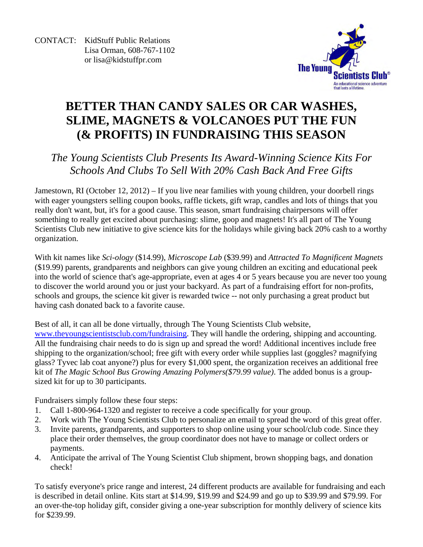CONTACT: KidStuff Public Relations Lisa Orman, 608-767-1102 or lisa@kidstuffpr.com



# **BETTER THAN CANDY SALES OR CAR WASHES, SLIME, MAGNETS & VOLCANOES PUT THE FUN (& PROFITS) IN FUNDRAISING THIS SEASON**

# *The Young Scientists Club Presents Its Award-Winning Science Kits For Schools And Clubs To Sell With 20% Cash Back And Free Gifts*

Jamestown, RI (October 12, 2012) – If you live near families with young children, your doorbell rings with eager youngsters selling coupon books, raffle tickets, gift wrap, candles and lots of things that you really don't want, but, it's for a good cause. This season, smart fundraising chairpersons will offer something to really get excited about purchasing: slime, goop and magnets! It's all part of The Young Scientists Club new initiative to give science kits for the holidays while giving back 20% cash to a worthy organization.

With kit names like *Sci-ology* (\$14.99), *Microscope Lab* (\$39.99) and *Attracted To Magnificent Magnets* (\$19.99) parents, grandparents and neighbors can give young children an exciting and educational peek into the world of science that's age-appropriate, even at ages 4 or 5 years because you are never too young to discover the world around you or just your backyard. As part of a fundraising effort for non-profits, schools and groups, the science kit giver is rewarded twice -- not only purchasing a great product but having cash donated back to a favorite cause.

Best of all, it can all be done virtually, through The Young Scientists Club website,

www.theyoungscientistsclub.com/fundraising. They will handle the ordering, shipping and accounting. All the fundraising chair needs to do is sign up and spread the word! Additional incentives include free shipping to the organization/school; free gift with every order while supplies last (goggles? magnifying glass? Tyvec lab coat anyone?) plus for every \$1,000 spent, the organization receives an additional free kit of *The Magic School Bus Growing Amazing Polymers(\$79.99 value)*. The added bonus is a groupsized kit for up to 30 participants.

Fundraisers simply follow these four steps:

- 1. Call 1-800-964-1320 and register to receive a code specifically for your group.
- 2. Work with The Young Scientists Club to personalize an email to spread the word of this great offer.
- 3. Invite parents, grandparents, and supporters to shop online using your school/club code. Since they place their order themselves, the group coordinator does not have to manage or collect orders or payments.
- 4. Anticipate the arrival of The Young Scientist Club shipment, brown shopping bags, and donation check!

To satisfy everyone's price range and interest, 24 different products are available for fundraising and each is described in detail online. Kits start at \$14.99, \$19.99 and \$24.99 and go up to \$39.99 and \$79.99. For an over-the-top holiday gift, consider giving a one-year subscription for monthly delivery of science kits for \$239.99.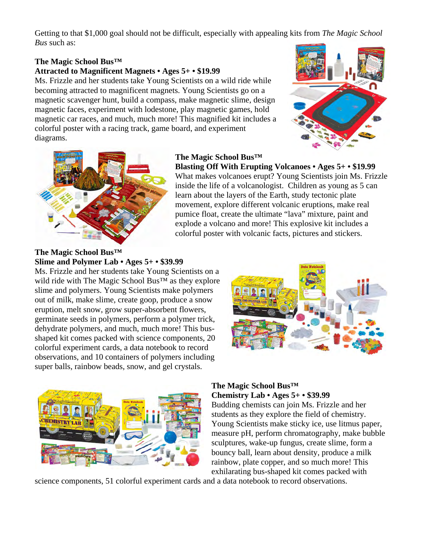Getting to that \$1,000 goal should not be difficult, especially with appealing kits from *The Magic School Bus* such as:

#### **The Magic School Bus™**

### **Attracted to Magnificent Magnets • Ages 5+ • \$19.99**

Ms. Frizzle and her students take Young Scientists on a wild ride while becoming attracted to magnificent magnets. Young Scientists go on a magnetic scavenger hunt, build a compass, make magnetic slime, design magnetic faces, experiment with lodestone, play magnetic games, hold magnetic car races, and much, much more! This magnified kit includes a colorful poster with a racing track, game board, and experiment diagrams.





#### **The Magic School Bus™ Blasting Off With Erupting Volcanoes • Ages 5+ • \$19.99**

What makes volcanoes erupt? Young Scientists join Ms. Frizzle inside the life of a volcanologist. Children as young as 5 can learn about the layers of the Earth, study tectonic plate movement, explore different volcanic eruptions, make real pumice float, create the ultimate "lava" mixture, paint and explode a volcano and more! This explosive kit includes a colorful poster with volcanic facts, pictures and stickers.

**The Magic School Bus™ Slime and Polymer Lab • Ages 5+ • \$39.99** 

Ms. Frizzle and her students take Young Scientists on a wild ride with The Magic School Bus™ as they explore slime and polymers. Young Scientists make polymers out of milk, make slime, create goop, produce a snow eruption, melt snow, grow super-absorbent flowers, germinate seeds in polymers, perform a polymer trick, dehydrate polymers, and much, much more! This busshaped kit comes packed with science components, 20 colorful experiment cards, a data notebook to record observations, and 10 containers of polymers including super balls, rainbow beads, snow, and gel crystals.





#### **The Magic School Bus™ Chemistry Lab • Ages 5+ • \$39.99**

Budding chemists can join Ms. Frizzle and her students as they explore the field of chemistry. Young Scientists make sticky ice, use litmus paper, measure pH, perform chromatography, make bubble sculptures, wake-up fungus, create slime, form a bouncy ball, learn about density, produce a milk rainbow, plate copper, and so much more! This exhilarating bus-shaped kit comes packed with

science components, 51 colorful experiment cards and a data notebook to record observations.